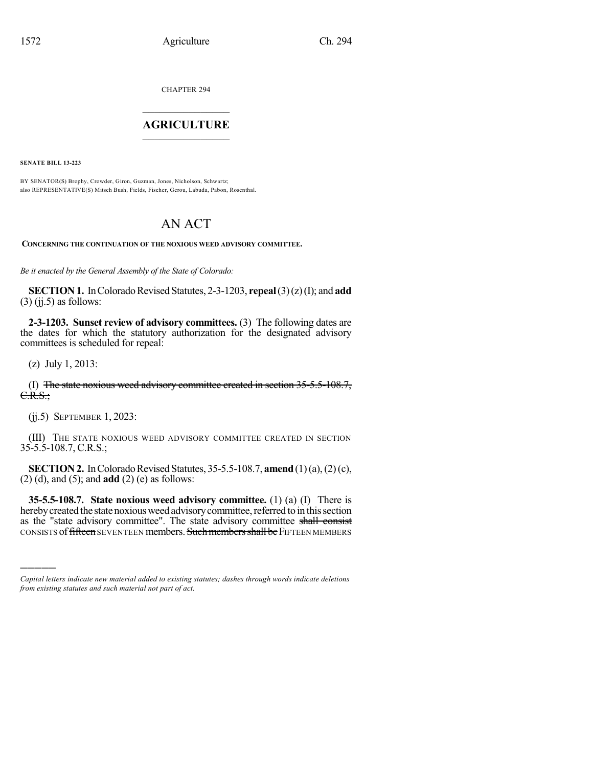CHAPTER 294

## $\overline{\phantom{a}}$  . The set of the set of the set of the set of the set of the set of the set of the set of the set of the set of the set of the set of the set of the set of the set of the set of the set of the set of the set o **AGRICULTURE**  $\_$   $\_$   $\_$   $\_$   $\_$   $\_$   $\_$   $\_$

**SENATE BILL 13-223**

BY SENATOR(S) Brophy, Crowder, Giron, Guzman, Jones, Nicholson, Schwartz; also REPRESENTATIVE(S) Mitsch Bush, Fields, Fischer, Gerou, Labuda, Pabon, Rosenthal.

## AN ACT

**CONCERNING THE CONTINUATION OF THE NOXIOUS WEED ADVISORY COMMITTEE.**

*Be it enacted by the General Assembly of the State of Colorado:*

**SECTION 1.** In Colorado Revised Statutes, 2-3-1203, **repeal** (3)(z)(I); and **add**  $(3)$  (jj.5) as follows:

**2-3-1203. Sunset review of advisory committees.** (3) The following dates are the dates for which the statutory authorization for the designated advisory committees is scheduled for repeal:

(z) July 1, 2013:

)))))

(I) The state noxious weed advisory committee created in section 35-5.5-108.7,  $C.R.S.:$ 

(jj.5) SEPTEMBER 1, 2023:

(III) THE STATE NOXIOUS WEED ADVISORY COMMITTEE CREATED IN SECTION 35-5.5-108.7, C.R.S.;

**SECTION 2.** In Colorado Revised Statutes, 35-5.5-108.7, **amend** (1)(a), (2)(c), (2) (d), and (5); and **add** (2) (e) as follows:

**35-5.5-108.7. State noxious weed advisory committee.** (1) (a) (I) There is hereby created the state noxious weed advisory committee, referred to in this section as the "state advisory committee". The state advisory committee shall consist CONSISTS of fifteen SEVENTEEN members. Such members shall be FIFTEEN MEMBERS

*Capital letters indicate new material added to existing statutes; dashes through words indicate deletions from existing statutes and such material not part of act.*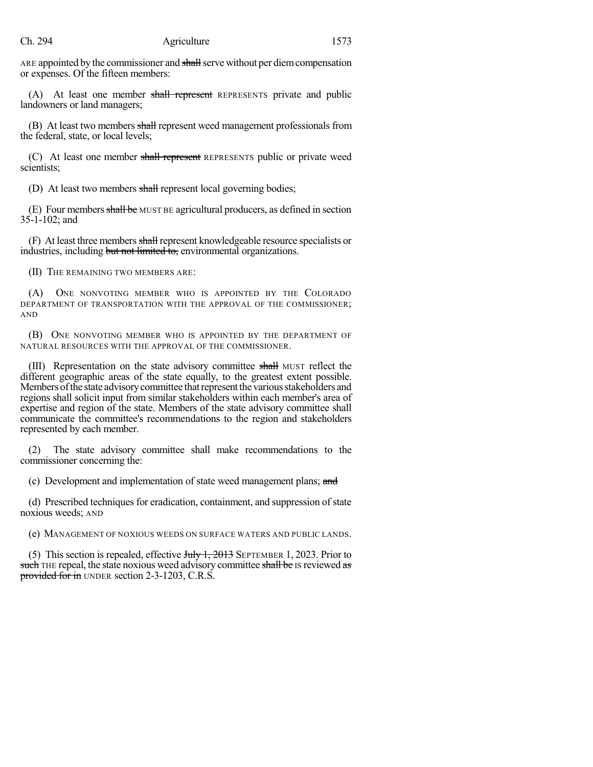ARE appointed by the commissioner and shall serve without per diem compensation or expenses. Of the fifteen members:

(A) At least one member shall represent REPRESENTS private and public landowners or land managers;

(B) At least two members shall represent weed management professionals from the federal, state, or local levels;

(C) At least one member shall represent REPRESENTS public or private weed scientists;

(D) At least two members shall represent local governing bodies;

(E) Four membersshall be MUST BE agricultural producers, as defined in section 35-1-102; and

(F) At least three members shall represent knowledgeable resource specialists or industries, including but not limited to, environmental organizations.

(II) THE REMAINING TWO MEMBERS ARE:

(A) ONE NONVOTING MEMBER WHO IS APPOINTED BY THE COLORADO DEPARTMENT OF TRANSPORTATION WITH THE APPROVAL OF THE COMMISSIONER; AND

(B) ONE NONVOTING MEMBER WHO IS APPOINTED BY THE DEPARTMENT OF NATURAL RESOURCES WITH THE APPROVAL OF THE COMMISSIONER.

(III) Representation on the state advisory committee shall MUST reflect the different geographic areas of the state equally, to the greatest extent possible. Members of the state advisory committee that represent the various stakeholders and regions shall solicit input from similar stakeholders within each member's area of expertise and region of the state. Members of the state advisory committee shall communicate the committee's recommendations to the region and stakeholders represented by each member.

(2) The state advisory committee shall make recommendations to the commissioner concerning the:

(c) Development and implementation of state weed management plans; and

(d) Prescribed techniques for eradication, containment, and suppression of state noxious weeds; AND

(e) MANAGEMENT OF NOXIOUS WEEDS ON SURFACE WATERS AND PUBLIC LANDS.

(5) This section is repealed, effective  $J_{\text{t}}$   $J_{\text{t}}$ ,  $2013$  SEPTEMBER 1, 2023. Prior to such THE repeal, the state noxious weed advisory committee shall be IS reviewed as provided for in UNDER section 2-3-1203, C.R.S.